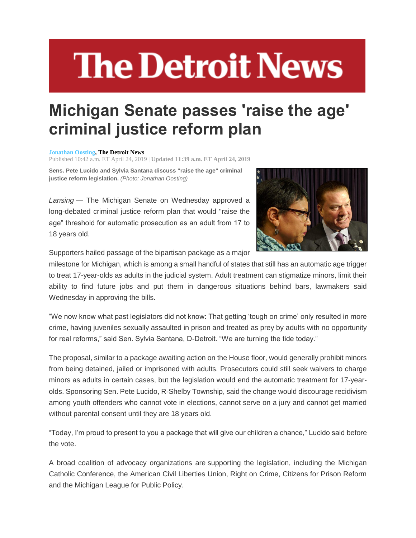## **The Detroit News**

## **Michigan Senate passes 'raise the age' criminal justice reform plan**

## **[Jonathan Oosting,](http://www.detroitnews.com/staff/10046778/jonathan-oosting/) The Detroit News**

Published 10:42 a.m. ET April 24, 2019 | **Updated 11:39 a.m. ET April 24, 2019**

**Sens. Pete Lucido and Sylvia Santana discuss "raise the age" criminal justice reform legislation.** *(Photo: Jonathan Oosting)*

*Lansing* — The Michigan Senate on Wednesday approved a long-debated criminal justice reform plan that would "raise the age" threshold for automatic prosecution as an adult from 17 to 18 years old.



Supporters hailed passage of the bipartisan package as a major

milestone for Michigan, which is among a small handful of states that still has an automatic age trigger to treat 17-year-olds as adults in the judicial system. Adult treatment can stigmatize minors, limit their ability to find future jobs and put them in dangerous situations behind bars, lawmakers said Wednesday in approving the bills.

"We now know what past legislators did not know: That getting 'tough on crime' only resulted in more crime, having juveniles sexually assaulted in prison and treated as prey by adults with no opportunity for real reforms," said Sen. Sylvia Santana, D-Detroit. "We are turning the tide today."

The proposal, similar to a package awaiting action on the House floor, would generally prohibit minors from being detained, jailed or imprisoned with adults. Prosecutors could still seek waivers to charge minors as adults in certain cases, but the legislation would end the automatic treatment for 17-yearolds. Sponsoring Sen. Pete Lucido, R-Shelby Township, said the change would discourage recidivism among youth offenders who cannot vote in elections, cannot serve on a jury and cannot get married without parental consent until they are 18 years old.

"Today, I'm proud to present to you a package that will give our children a chance," Lucido said before the vote.

A broad coalition of advocacy organizations are supporting the legislation, including the Michigan Catholic Conference, the American Civil Liberties Union, Right on Crime, Citizens for Prison Reform and the Michigan League for Public Policy.